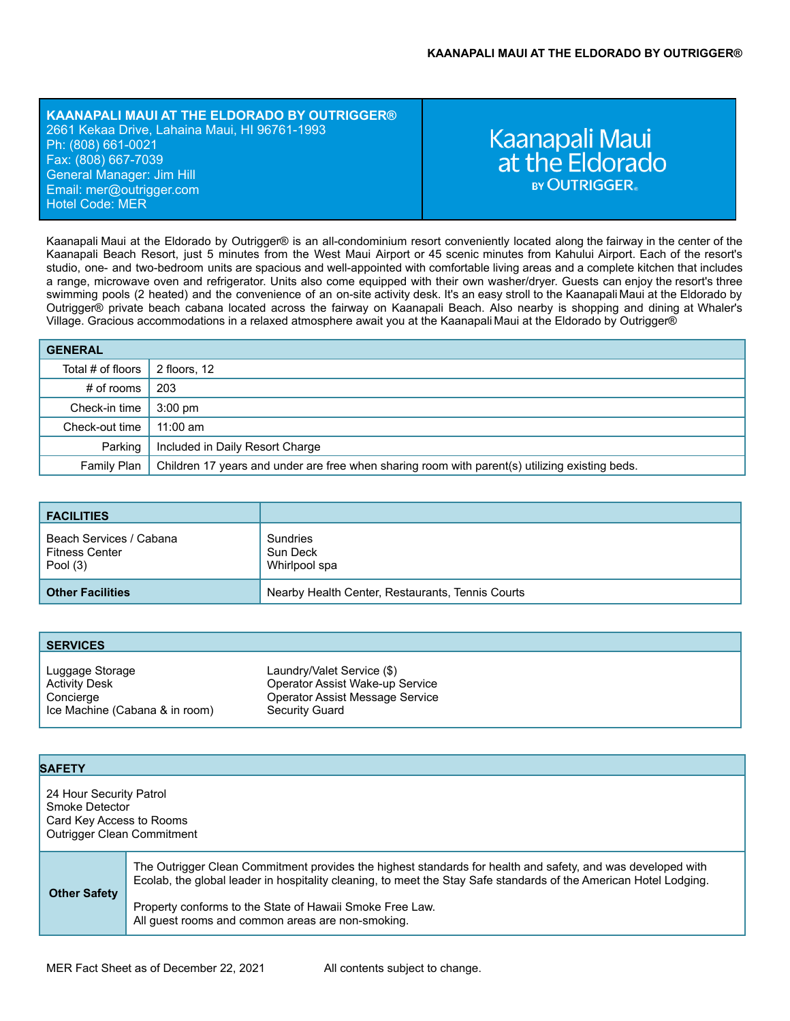### **KAANAPALI MAUI AT THE ELDORADO BY OUTRIGGER®** 2661 Kekaa Drive, Lahaina Maui, HI 96761-1993 Ph: (808) 661-0021 Fax: (808) 667-7039 General Manager: Jim Hill Email: mer[@outrigger.com](mailto:orf@outrigger.com) Hotel Code: MER

# Kaanapali Maui<br>at the Eldorado **BY OUTRIGGER**

Kaanapali Maui at the Eldorado by Outrigger® is an all-condominium resort conveniently located along the fairway in the center of the Kaanapali Beach Resort, just 5 minutes from the West Maui Airport or 45 scenic minutes from Kahului Airport. Each of the resort's studio, one- and two-bedroom units are spacious and well-appointed with comfortable living areas and a complete kitchen that includes a range, microwave oven and refrigerator. Units also come equipped with their own washer/dryer. Guests can enjoy the resort's three swimming pools (2 heated) and the convenience of an on-site activity desk. It's an easy stroll to the Kaanapali Maui at the Eldorado by Outrigger® private beach cabana located across the fairway on Kaanapali Beach. Also nearby is shopping and dining at Whaler's Village. Gracious accommodations in a relaxed atmosphere await you at the Kaanapali Maui at the Eldorado by Outrigger®

| <b>GENERAL</b>    |                                                                                                |
|-------------------|------------------------------------------------------------------------------------------------|
| Total # of floors | 2 floors, 12                                                                                   |
| # of rooms        | 203                                                                                            |
| Check-in time     | $3:00 \text{ pm}$                                                                              |
| Check-out time    | $11:00$ am                                                                                     |
| Parking           | Included in Daily Resort Charge                                                                |
| Family Plan       | Children 17 years and under are free when sharing room with parent(s) utilizing existing beds. |

| <b>FACILITIES</b>                                              |                                                  |
|----------------------------------------------------------------|--------------------------------------------------|
| Beach Services / Cabana<br><b>Fitness Center</b><br>Pool $(3)$ | Sundries<br>Sun Deck<br>Whirlpool spa            |
| <b>Other Facilities</b>                                        | Nearby Health Center, Restaurants, Tennis Courts |

| <b>SERVICES</b>                                      |                                                                                                  |
|------------------------------------------------------|--------------------------------------------------------------------------------------------------|
| Luggage Storage<br><b>Activity Desk</b><br>Concierge | Laundry/Valet Service (\$)<br>Operator Assist Wake-up Service<br>Operator Assist Message Service |
| Ice Machine (Cabana & in room)                       | Security Guard                                                                                   |

| <b>SAFETY</b>                                                                                              |                                                                                                                                                                                                                                                                                                                                                   |
|------------------------------------------------------------------------------------------------------------|---------------------------------------------------------------------------------------------------------------------------------------------------------------------------------------------------------------------------------------------------------------------------------------------------------------------------------------------------|
| 24 Hour Security Patrol<br>Smoke Detector<br>Card Key Access to Rooms<br><b>Outrigger Clean Commitment</b> |                                                                                                                                                                                                                                                                                                                                                   |
| <b>Other Safety</b>                                                                                        | The Outrigger Clean Commitment provides the highest standards for health and safety, and was developed with<br>Ecolab, the global leader in hospitality cleaning, to meet the Stay Safe standards of the American Hotel Lodging.<br>Property conforms to the State of Hawaii Smoke Free Law.<br>All guest rooms and common areas are non-smoking. |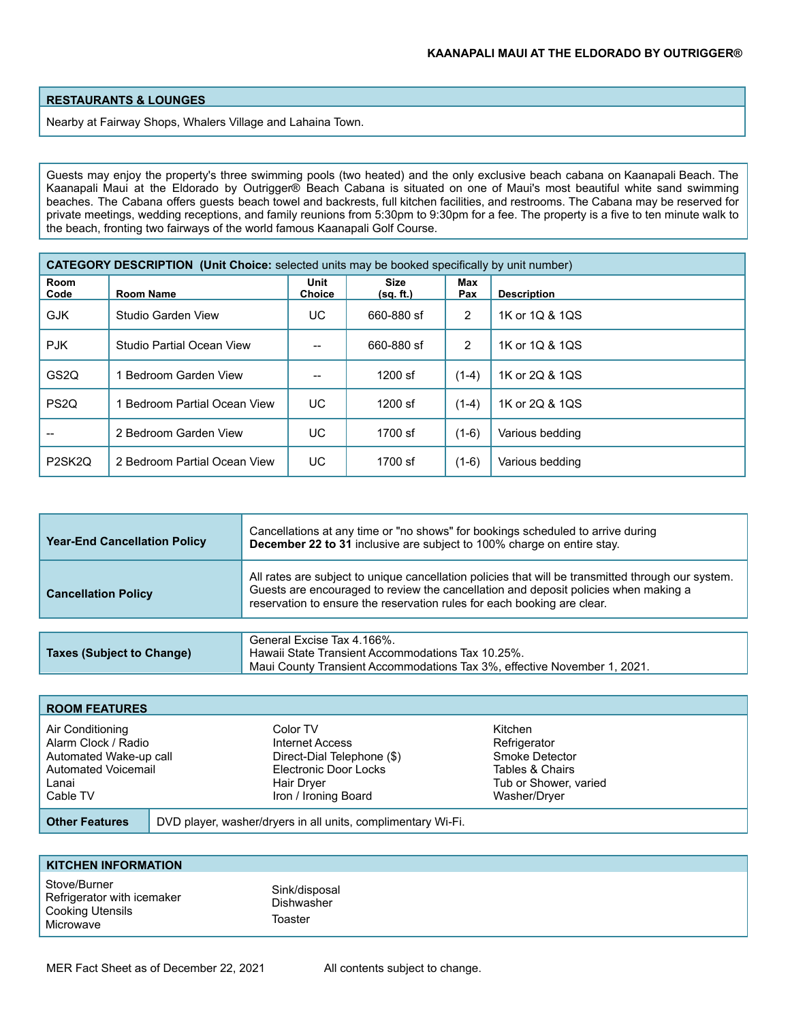## **RESTAURANTS & LOUNGES**

Nearby at Fairway Shops, Whalers Village and Lahaina Town.

Guests may enjoy the property's three swimming pools (two heated) and the only exclusive beach cabana on Kaanapali Beach. The Kaanapali Maui at the Eldorado by Outrigger® Beach Cabana is situated on one of Maui's most beautiful white sand swimming beaches. The Cabana offers guests beach towel and backrests, full kitchen facilities, and restrooms. The Cabana may be reserved for private meetings, wedding receptions, and family reunions from 5:30pm to 9:30pm for a fee. The property is a five to ten minute walk to the beach, fronting two fairways of the world famous Kaanapali Golf Course.

| <b>CATEGORY DESCRIPTION (Unit Choice:</b> selected units may be booked specifically by unit number) |                              |                       |                          |            |                    |
|-----------------------------------------------------------------------------------------------------|------------------------------|-----------------------|--------------------------|------------|--------------------|
| Room<br>Code                                                                                        | Room Name                    | Unit<br><b>Choice</b> | <b>Size</b><br>(sq. ft.) | Max<br>Pax | <b>Description</b> |
| <b>GJK</b>                                                                                          | Studio Garden View           | UC.                   | 660-880 sf               | 2          | 1K or 1Q & 1QS     |
| <b>PJK</b>                                                                                          | Studio Partial Ocean View    |                       | 660-880 sf               | 2          | 1K or 1Q & 1QS     |
| GS <sub>2</sub> Q                                                                                   | Bedroom Garden View          |                       | $1200$ sf                | $(1-4)$    | 1K or 2Q & 1QS     |
| PS <sub>2Q</sub>                                                                                    | Bedroom Partial Ocean View   | UC                    | $1200$ sf                | $(1-4)$    | 1K or 2Q & 1QS     |
|                                                                                                     | 2 Bedroom Garden View        | UC                    | 1700 sf                  | $(1-6)$    | Various bedding    |
| P2SK2Q                                                                                              | 2 Bedroom Partial Ocean View | UC                    | 1700 sf                  | $(1-6)$    | Various bedding    |

| <b>Year-End Cancellation Policy</b> | Cancellations at any time or "no shows" for bookings scheduled to arrive during<br>December 22 to 31 inclusive are subject to 100% charge on entire stay.                                                                                                            |  |  |
|-------------------------------------|----------------------------------------------------------------------------------------------------------------------------------------------------------------------------------------------------------------------------------------------------------------------|--|--|
| <b>Cancellation Policy</b>          | All rates are subject to unique cancellation policies that will be transmitted through our system.<br>Guests are encouraged to review the cancellation and deposit policies when making a<br>reservation to ensure the reservation rules for each booking are clear. |  |  |
|                                     |                                                                                                                                                                                                                                                                      |  |  |
| Taxes (Subject to Change)           | General Excise Tax 4.166%.<br>Hawaii State Transient Accommodations Tax 10.25%.<br>Maui County Transient Accommodations Tax 3%, effective November 1, 2021.                                                                                                          |  |  |

| <b>ROOM FEATURES</b>                                                                                          |                                                                                                                          |                                                                                                       |
|---------------------------------------------------------------------------------------------------------------|--------------------------------------------------------------------------------------------------------------------------|-------------------------------------------------------------------------------------------------------|
| Air Conditioning<br>Alarm Clock / Radio<br>Automated Wake-up call<br>Automated Voicemail<br>Lanai<br>Cable TV | Color TV<br>Internet Access<br>Direct-Dial Telephone (\$)<br>Electronic Door Locks<br>Hair Dryer<br>Iron / Ironing Board | Kitchen<br>Refrigerator<br>Smoke Detector<br>Tables & Chairs<br>Tub or Shower, varied<br>Washer/Dryer |
| <b>Other Features</b>                                                                                         | DVD player, washer/dryers in all units, complimentary Wi-Fi.                                                             |                                                                                                       |

| <b>KITCHEN INFORMATION</b>                                                         |                                               |
|------------------------------------------------------------------------------------|-----------------------------------------------|
| Stove/Burner<br>Refrigerator with icemaker<br><b>Cooking Utensils</b><br>Microwave | Sink/disposal<br><b>Dishwasher</b><br>Toaster |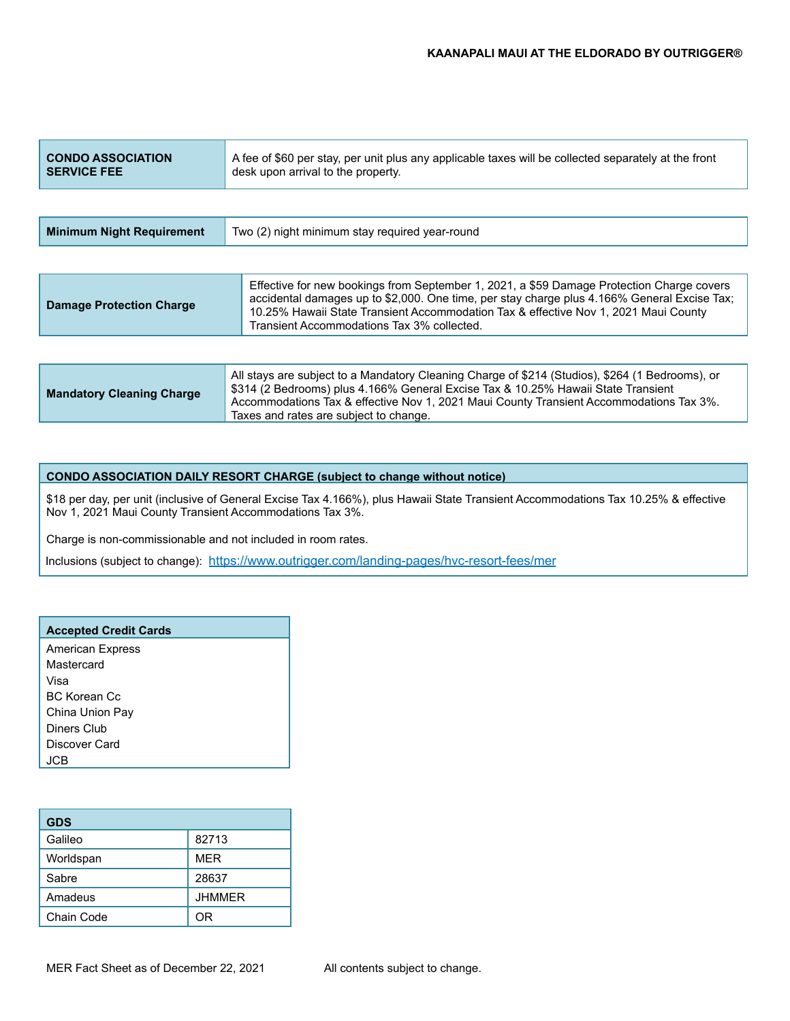| <b>CONDO ASSOCIATION</b><br><b>SERVICE FEE</b> | A fee of \$60 per stay, per unit plus any applicable taxes will be collected separately at the front<br>desk upon arrival to the property.                                                                                                                                                                                    |  |  |
|------------------------------------------------|-------------------------------------------------------------------------------------------------------------------------------------------------------------------------------------------------------------------------------------------------------------------------------------------------------------------------------|--|--|
|                                                |                                                                                                                                                                                                                                                                                                                               |  |  |
| <b>Minimum Night Requirement</b>               | Two (2) night minimum stay reguired year-round                                                                                                                                                                                                                                                                                |  |  |
|                                                |                                                                                                                                                                                                                                                                                                                               |  |  |
| <b>Damage Protection Charge</b>                | Effective for new bookings from September 1, 2021, a \$59 Damage Protection Charge covers<br>accidental damages up to \$2,000. One time, per stay charge plus 4.166% General Excise Tax;<br>10.25% Hawaii State Transient Accommodation Tax & effective Nov 1, 2021 Maui County<br>Transient Accommodations Tax 3% collected. |  |  |
|                                                | All it is a little to a little of the other conditions in one of a constant of the state of the state of the s                                                                                                                                                                                                                |  |  |

| All stays are subject to a Mandatory Cleaning Charge of \$214 (Studios), \$264 (1 Bedrooms), or<br>  \$314 (2 Bedrooms) plus 4.166% General Excise Tax & 10.25% Hawaii State Transient<br><b>Mandatory Cleaning Charge</b><br>Accommodations Tax & effective Nov 1, 2021 Maui County Transient Accommodations Tax 3%.<br>Taxes and rates are subject to change. |  |
|-----------------------------------------------------------------------------------------------------------------------------------------------------------------------------------------------------------------------------------------------------------------------------------------------------------------------------------------------------------------|--|
|-----------------------------------------------------------------------------------------------------------------------------------------------------------------------------------------------------------------------------------------------------------------------------------------------------------------------------------------------------------------|--|

#### **CONDO ASSOCIATION DAILY RESORT CHARGE (subject to change without notice)**

\$18 per day, per unit (inclusive of General Excise Tax 4.166%), plus Hawaii State Transient Accommodations Tax 10.25% & effective Nov 1, 2021 Maui County Transient Accommodations Tax 3%.

Charge is non-commissionable and not included in room rates.

Inclusions (subject to change): <https://www.outrigger.com/landing-pages/hvc-resort-fees/mer>

| <b>Accepted Credit Cards</b> |
|------------------------------|
| <b>American Express</b>      |
| Mastercard                   |
| Visa                         |
| BC Korean Cc                 |
| China Union Pay              |
| Diners Club                  |
| Discover Card                |
|                              |

| <b>GDS</b> |               |
|------------|---------------|
| Galileo    | 82713         |
| Worldspan  | <b>MER</b>    |
| Sabre      | 28637         |
| Amadeus    | <b>JHMMER</b> |
| Chain Code | ΩR            |